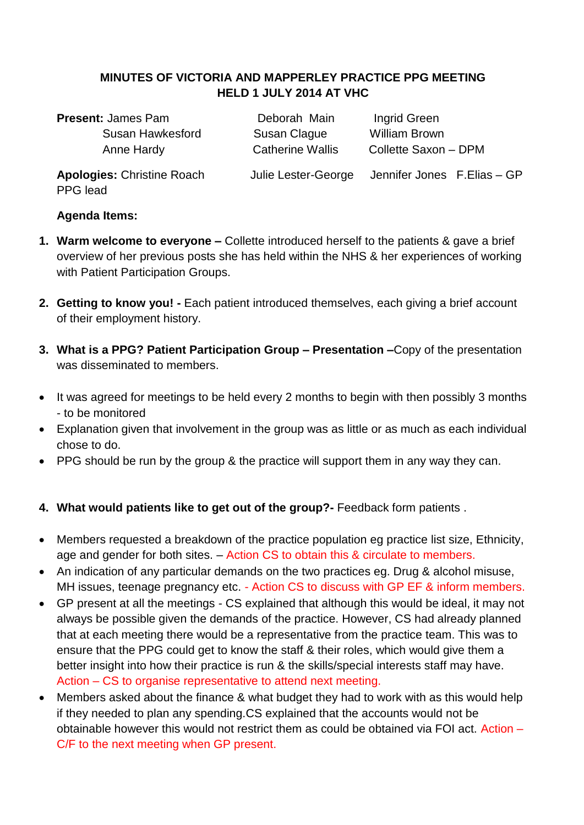### **MINUTES OF VICTORIA AND MAPPERLEY PRACTICE PPG MEETING HELD 1 JULY 2014 AT VHC**

**Present:** James Pam **Deborah Main** Ingrid Green Susan Hawkesford Susan Clague William Brown

Anne Hardy Catherine Wallis Collette Saxon – DPM

PPG lead

**Apologies:** Christine Roach Julie Lester-George Jennifer Jones F.Elias – GP

#### **Agenda Items:**

- **1. Warm welcome to everyone –** Collette introduced herself to the patients & gave a brief overview of her previous posts she has held within the NHS & her experiences of working with Patient Participation Groups.
- **2. Getting to know you! -** Each patient introduced themselves, each giving a brief account of their employment history.
- **3. What is a PPG? Patient Participation Group – Presentation –**Copy of the presentation was disseminated to members.
- It was agreed for meetings to be held every 2 months to begin with then possibly 3 months - to be monitored
- Explanation given that involvement in the group was as little or as much as each individual chose to do.
- PPG should be run by the group & the practice will support them in any way they can.

# **4. What would patients like to get out of the group?-** Feedback form patients .

- Members requested a breakdown of the practice population eg practice list size, Ethnicity, age and gender for both sites. – Action CS to obtain this & circulate to members.
- An indication of any particular demands on the two practices eg. Drug & alcohol misuse, MH issues, teenage pregnancy etc. - Action CS to discuss with GP EF & inform members.
- GP present at all the meetings CS explained that although this would be ideal, it may not always be possible given the demands of the practice. However, CS had already planned that at each meeting there would be a representative from the practice team. This was to ensure that the PPG could get to know the staff & their roles, which would give them a better insight into how their practice is run & the skills/special interests staff may have. Action – CS to organise representative to attend next meeting.
- Members asked about the finance & what budget they had to work with as this would help if they needed to plan any spending.CS explained that the accounts would not be obtainable however this would not restrict them as could be obtained via FOI act. Action – C/F to the next meeting when GP present.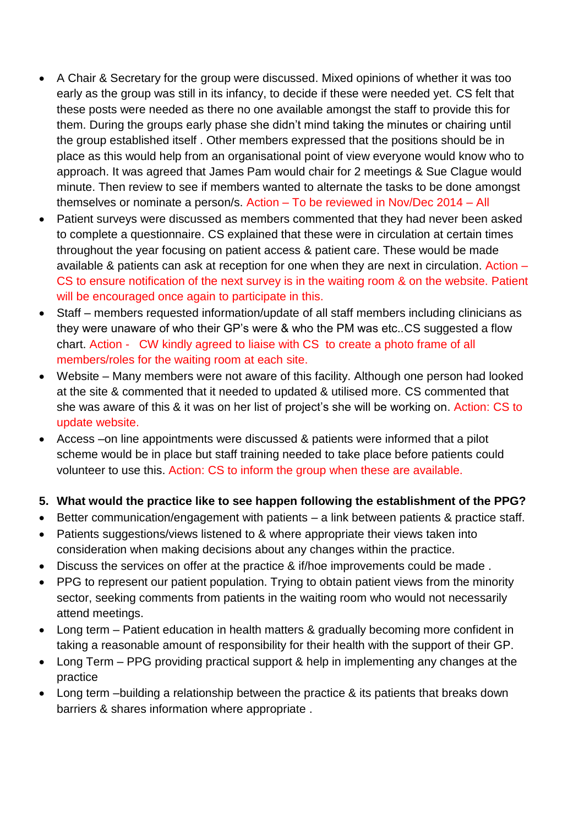- A Chair & Secretary for the group were discussed. Mixed opinions of whether it was too early as the group was still in its infancy, to decide if these were needed yet. CS felt that these posts were needed as there no one available amongst the staff to provide this for them. During the groups early phase she didn't mind taking the minutes or chairing until the group established itself . Other members expressed that the positions should be in place as this would help from an organisational point of view everyone would know who to approach. It was agreed that James Pam would chair for 2 meetings & Sue Clague would minute. Then review to see if members wanted to alternate the tasks to be done amongst themselves or nominate a person/s. Action – To be reviewed in Nov/Dec 2014 – All
- Patient surveys were discussed as members commented that they had never been asked to complete a questionnaire. CS explained that these were in circulation at certain times throughout the year focusing on patient access & patient care. These would be made available & patients can ask at reception for one when they are next in circulation. Action – CS to ensure notification of the next survey is in the waiting room & on the website. Patient will be encouraged once again to participate in this.
- Staff members requested information/update of all staff members including clinicians as they were unaware of who their GP's were & who the PM was etc..CS suggested a flow chart. Action - CW kindly agreed to liaise with CS to create a photo frame of all members/roles for the waiting room at each site.
- Website Many members were not aware of this facility. Although one person had looked at the site & commented that it needed to updated & utilised more. CS commented that she was aware of this & it was on her list of project's she will be working on. Action: CS to update website.
- Access –on line appointments were discussed & patients were informed that a pilot scheme would be in place but staff training needed to take place before patients could volunteer to use this. Action: CS to inform the group when these are available.

# **5. What would the practice like to see happen following the establishment of the PPG?**

- Better communication/engagement with patients a link between patients & practice staff.
- Patients suggestions/views listened to & where appropriate their views taken into consideration when making decisions about any changes within the practice.
- Discuss the services on offer at the practice & if/hoe improvements could be made .
- PPG to represent our patient population. Trying to obtain patient views from the minority sector, seeking comments from patients in the waiting room who would not necessarily attend meetings.
- Long term Patient education in health matters & gradually becoming more confident in taking a reasonable amount of responsibility for their health with the support of their GP.
- Long Term PPG providing practical support & help in implementing any changes at the practice
- Long term –building a relationship between the practice & its patients that breaks down barriers & shares information where appropriate .